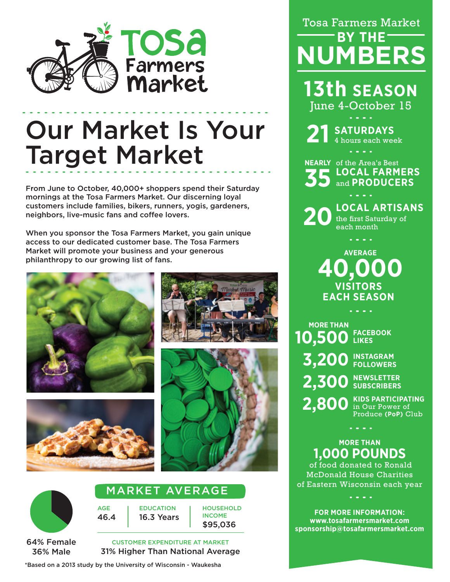

# Our Market Is Your Target Market

From June to October, 40,000+ shoppers spend their Saturday mornings at the Tosa Farmers Market. Our discerning loyal customers include families, bikers, runners, yogis, gardeners, neighbors, live-music fans and coffee lovers.

When you sponsor the Tosa Farmers Market, you gain unique access to our dedicated customer base. The Tosa Farmers Market will promote your business and your generous philanthropy to our growing list of fans.









#### 64% Female 36% Male

#### MARKET AVERAGE

**EDUCATION** 16.3 Years

AGE 46.4 **HOUSEHOLD** INCOME \$95,036

CUSTOMER EXPENDITURE AT MARKET 31% Higher Than National Average

\*Based on a 2013 study by the University of Wisconsin - Waukesha

# Tosa Farmers Market **BY THE NUMBERS**

**13th SEASON** June 4-October 15

**21 SATURDAYS** 4 hours each week

**NEARLY** of the Area's Best **LOCAL FARMERS 35** and **PRODUCERS**

**LOCAL ARTISANS** the first Saturday of **20**each month

a na mara

**VISITORS EACH SEASON AVERAGE 40,000**

**MORE THAN 10,500 LIKES 3,200 INSTAGRAM 2,300 NEWSLETTER 2,800 FACEBOOK FOLLOWERS SUBSCRIBERS**

**KIDS PARTICIPATING** in Our Power of Produce **(PoP)** Club

### **MORE THAN 1,000 POUNDS**

 $\sim$   $\sim$   $\sim$ 

of food donated to Ronald McDonald House Charities of Eastern Wisconsin each year

**FOR MORE INFORMATION: www.tosafarmersmarket.com sponsorship@tosafarmersmarket.com**